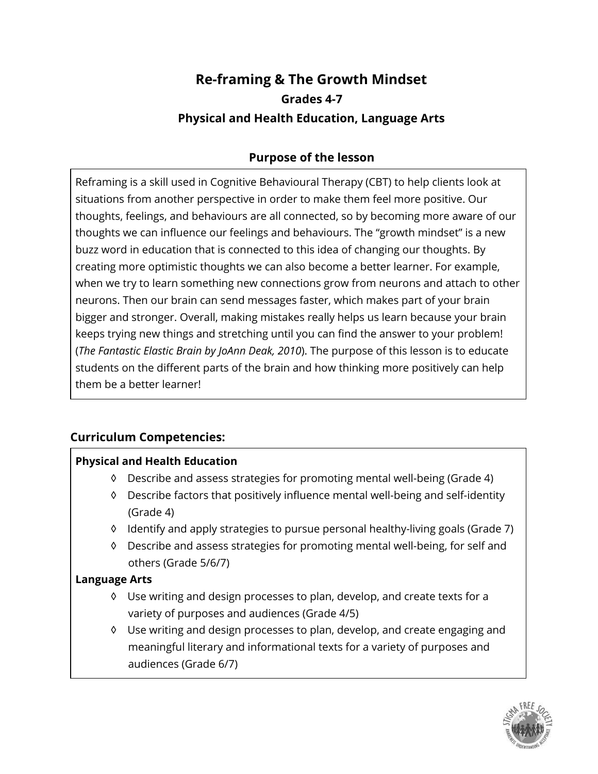## **Re-framing & The Growth Mindset Grades 4-7 Physical and Health Education, Language Arts**

## **Purpose of the lesson**

Reframing is a skill used in Cognitive Behavioural Therapy (CBT) to help clients look at situations from another perspective in order to make them feel more positive. Our thoughts, feelings, and behaviours are all connected, so by becoming more aware of our thoughts we can influence our feelings and behaviours. The "growth mindset" is a new buzz word in education that is connected to this idea of changing our thoughts. By creating more optimistic thoughts we can also become a better learner. For example, when we try to learn something new connections grow from neurons and attach to other neurons. Then our brain can send messages faster, which makes part of your brain bigger and stronger. Overall, making mistakes really helps us learn because your brain keeps trying new things and stretching until you can find the answer to your problem! (*The Fantastic Elastic Brain by JoAnn Deak, 2010*). The purpose of this lesson is to educate students on the different parts of the brain and how thinking more positively can help them be a better learner!

### **Curriculum Competencies:**

#### **Physical and Health Education**

- ◊ Describe and assess strategies for promoting mental well-being (Grade 4)
- ◊ Describe factors that positively influence mental well-being and self-identity (Grade 4)
- ◊ Identify and apply strategies to pursue personal healthy-living goals (Grade 7)
- ◊ Describe and assess strategies for promoting mental well-being, for self and others (Grade 5/6/7)

#### **Language Arts**

- ◊ Use writing and design processes to plan, develop, and create texts for a variety of purposes and audiences (Grade 4/5)
- ◊ Use writing and design processes to plan, develop, and create engaging and meaningful literary and informational texts for a variety of purposes and audiences (Grade 6/7)

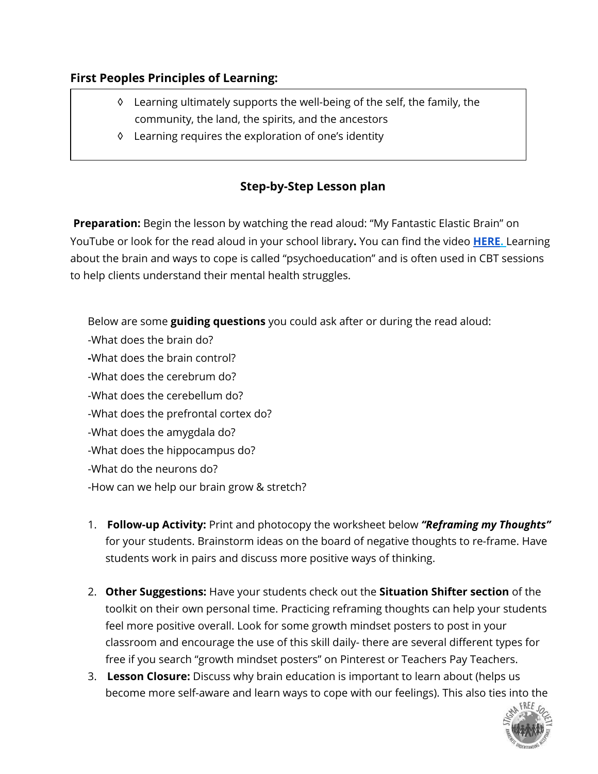### **First Peoples Principles of Learning:**

- ◊ Learning ultimately supports the well-being of the self, the family, the community, the land, the spirits, and the ancestors
- ◊ Learning requires the exploration of one's identity

## **Step-by-Step Lesson plan**

 **Preparation:** Begin the lesson by watching the read aloud: "My Fantastic Elastic Brain" on YouTube or look for the read aloud in your school library**.** You can find the video **[HERE](https://www.youtube.com/watch?v=ljirBIi1kME).** Learning about the brain and ways to cope is called "psychoeducation" and is often used in CBT sessions to help clients understand their mental health struggles.

Below are some **guiding questions** you could ask after or during the read aloud:

- -What does the brain do? **-**What does the brain control? -What does the cerebrum do? -What does the cerebellum do? -What does the prefrontal cortex do? -What does the amygdala do? -What does the hippocampus do? -What do the neurons do? -How can we help our brain grow & stretch?
- 1. **Follow-up Activity:** Print and photocopy the worksheet below *"Reframing my Thoughts"*  for your students. Brainstorm ideas on the board of negative thoughts to re-frame. Have students work in pairs and discuss more positive ways of thinking.
- 2. **Other Suggestions:** Have your students check out the **Situation Shifter section** of the toolkit on their own personal time. Practicing reframing thoughts can help your students feel more positive overall. Look for some growth mindset posters to post in your classroom and encourage the use of this skill daily- there are several different types for free if you search "growth mindset posters" on Pinterest or Teachers Pay Teachers.
- 3. **Lesson Closure:** Discuss why brain education is important to learn about (helps us become more self-aware and learn ways to cope with our feelings). This also ties into the

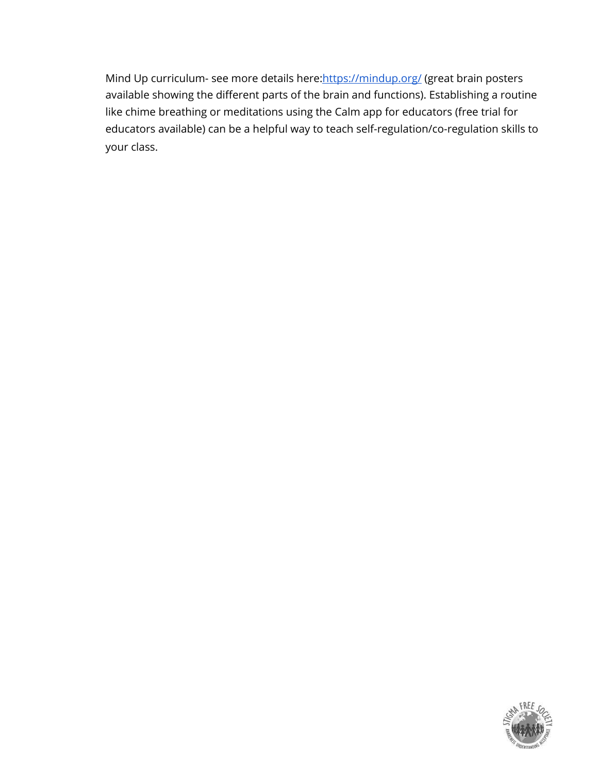Mind Up curriculum- see more details here: https://mindup.org/ (great brain posters available showing the different parts of the brain and functions). Establishing a routine like chime breathing or meditations using the Calm app for educators (free trial for educators available) can be a helpful way to teach self-regulation/co-regulation skills to your class.

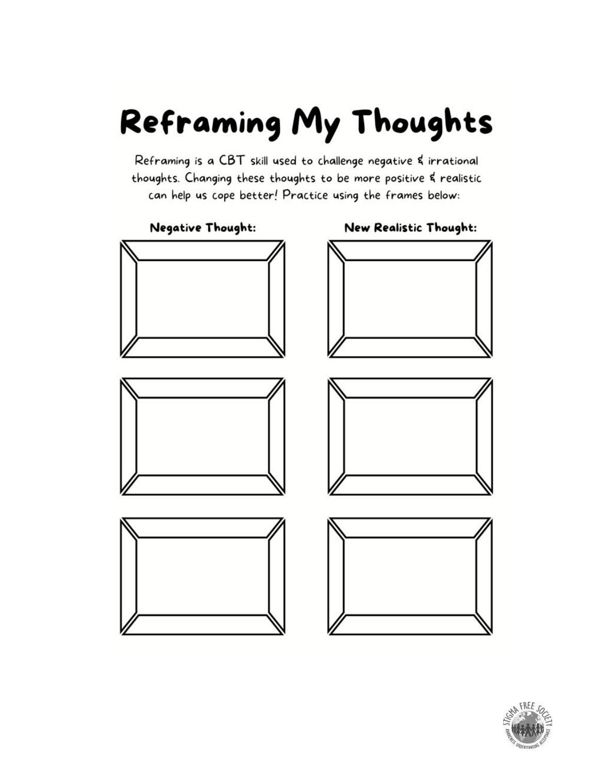# Reframing My Thoughts

Reframing is a CBT skill used to challenge negative & irrational thoughts. Changing these thoughts to be more positive & realistic can help us cope better! Practice using the frames below: